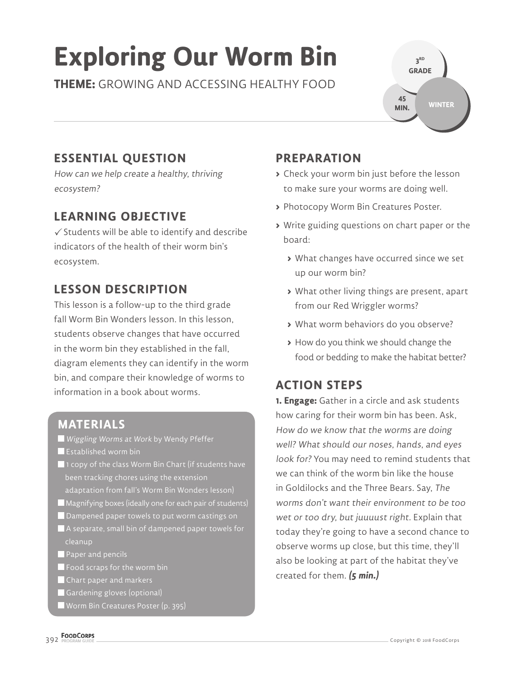# **Exploring Our Worm Bin**

**THEME:** GROWING AND ACCESSING HEALTHY FOOD

**3 RD GRADE WINTER 45 MIN.**

# **ESSENTIAL QUESTION**

How can we help create a healthy, thriving ecosystem?

#### **LEARNING OBJECTIVE**

 $\checkmark$  Students will be able to identify and describe indicators of the health of their worm bin's ecosystem.

### **LESSON DESCRIPTION**

This lesson is a follow-up to the third grade fall Worm Bin Wonders lesson. In this lesson, students observe changes that have occurred in the worm bin they established in the fall, diagram elements they can identify in the worm bin, and compare their knowledge of worms to information in a book about worms.

#### **MATERIALS**

- Wiggling Worms at Work by Wendy Pfeffer
- **Established worm bin**
- $\blacksquare$  1 copy of the class Worm Bin Chart (if students have been tracking chores using the extension adaptation from fall's Worm Bin Wonders lesson)
- Magnifying boxes (ideally one for each pair of students)
- Dampened paper towels to put worm castings on
- A separate, small bin of dampened paper towels for cleanup
- **Paper and pencils**
- $\blacksquare$  Food scraps for the worm bin
- Chart paper and markers
- Gardening gloves (optional)
- Worm Bin Creatures Poster (p. 395)

## **PREPARATION**

- **>** Check your worm bin just before the lesson to make sure your worms are doing well.
- **>** Photocopy Worm Bin Creatures Poster.
- **>** Write guiding questions on chart paper or the board:
	- **>** What changes have occurred since we set up our worm bin?
	- **>** What other living things are present, apart from our Red Wriggler worms?
	- **>** What worm behaviors do you observe?
	- **>** How do you think we should change the food or bedding to make the habitat better?

## **ACTION STEPS**

**1. Engage:** Gather in a circle and ask students how caring for their worm bin has been. Ask, How do we know that the worms are doing well? What should our noses, hands, and eyes look for? You may need to remind students that we can think of the worm bin like the house in Goldilocks and the Three Bears. Say, The worms don't want their environment to be too wet or too dry, but juuuust right. Explain that today they're going to have a second chance to observe worms up close, but this time, they'll also be looking at part of the habitat they've created for them. **(5 min.)**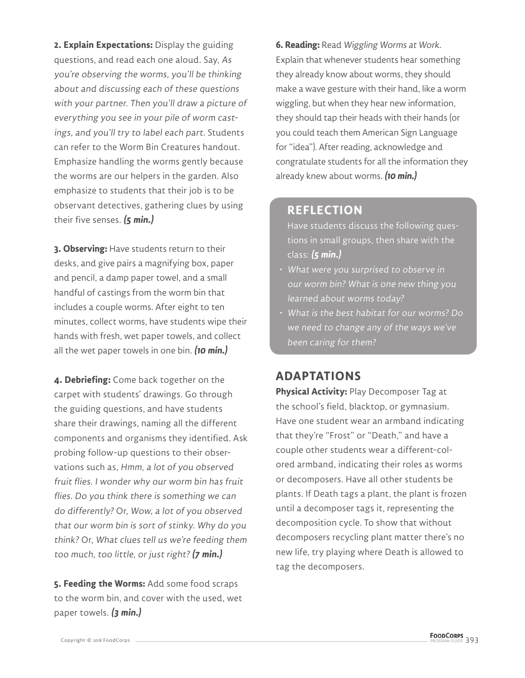**2. Explain Expectations:** Display the guiding questions, and read each one aloud. Say, As you're observing the worms, you'll be thinking about and discussing each of these questions with your partner. Then you'll draw a picture of everything you see in your pile of worm castings, and you'll try to label each part. Students can refer to the Worm Bin Creatures handout. Emphasize handling the worms gently because the worms are our helpers in the garden. Also emphasize to students that their job is to be observant detectives, gathering clues by using their five senses. **(5 min.)**

**3. Observing:** Have students return to their desks, and give pairs a magnifying box, paper and pencil, a damp paper towel, and a small handful of castings from the worm bin that includes a couple worms. After eight to ten minutes, collect worms, have students wipe their hands with fresh, wet paper towels, and collect all the wet paper towels in one bin. **(10 min.)**

**4. Debriefing:** Come back together on the carpet with students' drawings. Go through the guiding questions, and have students share their drawings, naming all the different components and organisms they identified. Ask probing follow-up questions to their observations such as, Hmm, a lot of you observed fruit flies. I wonder why our worm bin has fruit flies. Do you think there is something we can do differently? Or, Wow, a lot of you observed that our worm bin is sort of stinky. Why do you think? Or, What clues tell us we're feeding them too much, too little, or just right? **(7 min.)**

**5. Feeding the Worms:** Add some food scraps to the worm bin, and cover with the used, wet paper towels. **(3 min.)**

**6. Reading:** Read Wiggling Worms at Work. Explain that whenever students hear something they already know about worms, they should make a wave gesture with their hand, like a worm wiggling, but when they hear new information, they should tap their heads with their hands (or you could teach them American Sign Language for "idea"). After reading, acknowledge and congratulate students for all the information they already knew about worms. **(10 min.)**

#### **REFLECTION**

Have students discuss the following questions in small groups, then share with the class: **(5 min.)**

- What were you surprised to observe in our worm bin? What is one new thing you learned about worms today?
- What is the best habitat for our worms? Do we need to change any of the ways we've been caring for them?

#### **ADAPTATIONS**

**Physical Activity:** Play Decomposer Tag at the school's field, blacktop, or gymnasium. Have one student wear an armband indicating that they're "Frost" or "Death," and have a couple other students wear a different-colored armband, indicating their roles as worms or decomposers. Have all other students be plants. If Death tags a plant, the plant is frozen until a decomposer tags it, representing the decomposition cycle. To show that without decomposers recycling plant matter there's no new life, try playing where Death is allowed to tag the decomposers.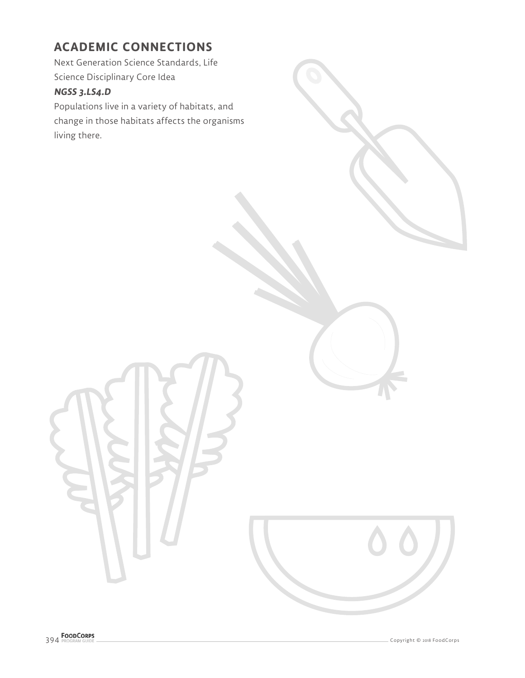#### **ACADEMIC CONNECTIONS**

Next Generation Science Standards, Life Science Disciplinary Core Idea

#### **NGSS 3.LS4.D**

Populations live in a variety of habitats, and change in those habitats affects the organisms living there.